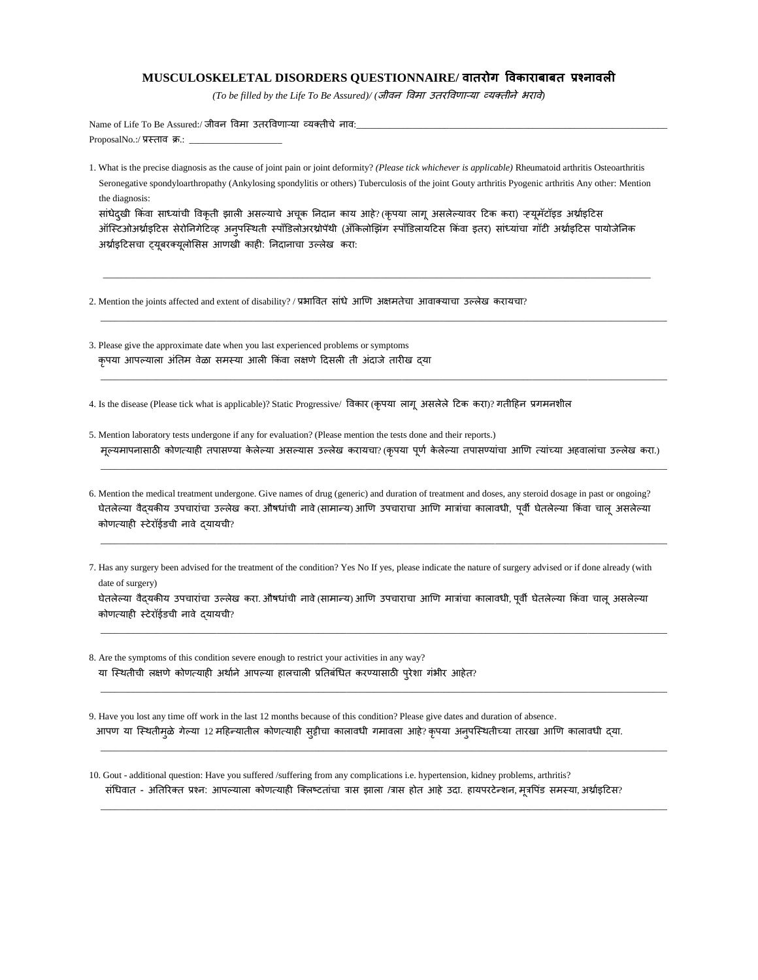## **MUSCULOSKELETAL DISORDERS QUESTIONNAIRE/ वातरोग ववकाराबाबत प्रश्नावली**

*(To be filled by the Life To Be Assured)/* (जीवन विमा उतरविणाऱ्या व्यक्तीने भरावे)

Name of Life To Be Assured:/ जीवन विमा उतरविणाऱ्या व्यक्तीचे नाव: ProposalNo.:/ प्रस्ताव क्र.: \_

1. What is the precise diagnosis as the cause of joint pain or joint deformity? *(Please tick whichever is applicable)* Rheumatoid arthritis Osteoarthritis Seronegative spondyloarthropathy (Ankylosing spondylitis or others) Tuberculosis of the joint Gouty arthritis Pyogenic arthritis Any other: Mention the diagnosis:

सांधेदुखी किंवा साध्यांची विकृती झाली असल्याचे अचूक निदान काय आहे? (कृपया लागू असलेल्यावर टिक करा) ऱ्यूमॅटॉइड अर्थाइटिस ऑस्टिओअर्थ्राइटिस सेरोनिगेटिव्ह अनुपस्थिती स्पॉंडिलोअरथ्रोपॅथी (ॲकिलोझिंग स्पॉंडिलायटिस किंवा इतर) सांध्यांचा गॉटी अर्थ्राइटिस पायोजेनिक अर्थ्राइटिसचा ट्यूबरक्यूलोसिस आणखी काही: निदानाचा उल्लेख करा:

\_\_\_\_\_\_\_\_\_\_\_\_\_\_\_\_\_\_\_\_\_\_\_\_\_\_\_\_\_\_\_\_\_\_\_\_\_\_\_\_\_\_\_\_\_\_\_\_\_\_\_\_\_\_\_\_\_\_\_\_\_\_\_\_\_\_\_\_\_\_\_\_\_\_\_\_\_\_\_\_\_\_\_\_\_\_\_\_\_\_\_\_\_\_\_\_\_\_\_\_\_\_\_\_\_\_\_\_\_\_\_\_\_\_\_\_\_\_

 $\Box$  . The contribution of the contribution of the contribution of the contribution of the contribution of the contribution of the contribution of the contribution of the contribution of the contribution of the contributi

\_\_\_\_\_\_\_\_\_\_\_\_\_\_\_\_\_\_\_\_\_\_\_\_\_\_\_\_\_\_\_\_\_\_\_\_\_\_\_\_\_\_\_\_\_\_\_\_\_\_\_\_\_\_\_\_\_\_\_\_\_\_\_\_\_\_\_\_\_\_\_\_\_\_\_\_\_\_\_\_\_\_\_\_\_\_\_\_\_\_\_\_\_\_\_\_\_\_\_\_\_\_\_\_\_\_\_\_\_\_\_\_\_\_\_\_\_\_\_\_\_\_

2. Mention the joints affected and extent of disability? / प्रभावित सांधे आणि अक्षमतेचा आवाक्याचा उल्लेख करायचा?

3. Please give the approximate date when you last experienced problems or symptoms कृपया आपल्याला अंतिम वेळा समस्या आली किंवा लक्षणे दिसली ती अंदाजे तारीख दया

4. Is the disease (Please tick what is applicable)? Static Progressive/ विकार (कृपया) लागू असलेले टिक करा)? गतीहिन प्रगमनशील

5. Mention laboratory tests undergone if any for evaluation? (Please mention the tests done and their reports.) मूल्यमापनासाठी कोणत्याही तपासण्या केलेल्या असल्यास उल्लेख करायचा? (कृपया पूर्ण केलेल्या तपासण्यांचा आणि त्यांच्या अहवालांचा उल्लेख करा.)

 $\Box$  . The contribution of the contribution of the contribution of the contribution of the contribution of the contribution of the contribution of the contribution of the contribution of the contribution of the contributi

 $\Box$  . The contribution of the contribution of the contribution of the contribution of the contribution of the contribution of the contribution of the contribution of the contribution of the contribution of the contributi

- 6. Mention the medical treatment undergone. Give names of drug (generic) and duration of treatment and doses, any steroid dosage in past or ongoing? घेतलेल्या वैदयकीय उपचारांचा उल्लेख करा. औषधांची नावे (सामान्य) आणि उपचाराचा आणि मात्रांचा कालावधी, पूर्वी घेतलेल्या किंवा चालू असलेल्या कोणत्याही स्टेरॉईडची नावे द्यायची?
- 7. Has any surgery been advised for the treatment of the condition? Yes No If yes, please indicate the nature of surgery advised or if done already (with date of surgery)

घेतलेल्या वैदयकीय उपचारांचा उल्लेख करा. औषधांची नावे(सामान्य) आणि उपचाराचा आणि मात्रांचा कालावधी, पूर्वी घेतलेल्या किंवा चालू असलेल्या कोणत्याही स्टेरॉईडची नावे दयायची?

 $\bot$  , and the set of the set of the set of the set of the set of the set of the set of the set of the set of the set of the set of the set of the set of the set of the set of the set of the set of the set of the set of t

 $\Box$  . The contribution of the contribution of the contribution of the contribution of the contribution of the contribution of the contribution of the contribution of the contribution of the contribution of the contributi

\_\_\_\_\_\_\_\_\_\_\_\_\_\_\_\_\_\_\_\_\_\_\_\_\_\_\_\_\_\_\_\_\_\_\_\_\_\_\_\_\_\_\_\_\_\_\_\_\_\_\_\_\_\_\_\_\_\_\_\_\_\_\_\_\_\_\_\_\_\_\_\_\_\_\_\_\_\_\_\_\_\_\_\_\_\_\_\_\_\_\_\_\_\_\_\_\_\_\_\_\_\_\_\_\_\_\_\_\_\_\_\_\_\_\_\_\_\_\_\_\_\_

 $\Box$  . The contribution of the contribution of the contribution of the contribution of the contribution of the contribution of the contribution of the contribution of the contribution of the contribution of the contributi

8. Are the symptoms of this condition severe enough to restrict your activities in any way? या स्थितीची लक्षणे कोणत्याही अर्थाने आपल्या हालचाली प्रतिबंधित करण्यासाठी प्रेशा गंभीर आहेत?

9. Have you lost any time off work in the last 12 months because of this condition? Please give dates and duration of absence. आपण या स्थितीमुळे गेल्या 12 महिन्यातील कोणत्याही सुट्टीचा कालावधी गमावला आहे? कृपया अनुपस्थितीच्या तारखा आणि कालावधी दया.

10. Gout - additional question: Have you suffered /suffering from any complications i.e. hypertension, kidney problems, arthritis? संधिवात - अतिरिक्त प्रश्न: आपल्याला कोणत्याही क्लिष्टतांचा त्रास झाला /त्रास होत आहे उदा. हायपरटेन्शन, मूत्रपिंड समस्या, अर्थ्राइटिस?